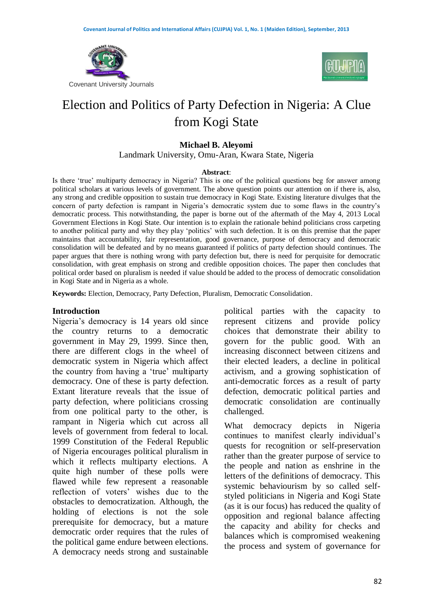



# Election and Politics of Party Defection in Nigeria: A Clue from Kogi State

### **Michael B. Aleyomi**

Landmark University, Omu-Aran, Kwara State, Nigeria

#### **Abstract**:

Is there 'true' multiparty democracy in Nigeria? This is one of the political questions beg for answer among political scholars at various levels of government. The above question points our attention on if there is, also, any strong and credible opposition to sustain true democracy in Kogi State. Existing literature divulges that the concern of party defection is rampant in Nigeria's democratic system due to some flaws in the country's democratic process. This notwithstanding, the paper is borne out of the aftermath of the May 4, 2013 Local Government Elections in Kogi State. Our intention is to explain the rationale behind politicians cross carpeting to another political party and why they play 'politics' with such defection. It is on this premise that the paper maintains that accountability, fair representation, good governance, purpose of democracy and democratic consolidation will be defeated and by no means guaranteed if politics of party defection should continues. The paper argues that there is nothing wrong with party defection but, there is need for perquisite for democratic consolidation, with great emphasis on strong and credible opposition choices. The paper then concludes that political order based on pluralism is needed if value should be added to the process of democratic consolidation in Kogi State and in Nigeria as a whole.

**Keywords:** Election, Democracy, Party Defection, Pluralism, Democratic Consolidation.

#### **Introduction**

Nigeria's democracy is 14 years old since the country returns to a democratic government in May 29, 1999. Since then, there are different clogs in the wheel of democratic system in Nigeria which affect the country from having a 'true' multiparty democracy. One of these is party defection. Extant literature reveals that the issue of party defection, where politicians crossing from one political party to the other, is rampant in Nigeria which cut across all levels of government from federal to local. 1999 Constitution of the Federal Republic of Nigeria encourages political pluralism in which it reflects multiparty elections. A quite high number of these polls were flawed while few represent a reasonable reflection of voters' wishes due to the obstacles to democratization. Although, the holding of elections is not the sole prerequisite for democracy, but a mature democratic order requires that the rules of the political game endure between elections. A democracy needs strong and sustainable

political parties with the capacity to represent citizens and provide policy choices that demonstrate their ability to govern for the public good. With an increasing disconnect between citizens and their elected leaders, a decline in political activism, and a growing sophistication of anti-democratic forces as a result of party defection, democratic political parties and democratic consolidation are continually challenged.

What democracy depicts in Nigeria continues to manifest clearly individual's quests for recognition or self-preservation rather than the greater purpose of service to the people and nation as enshrine in the letters of the definitions of democracy. This systemic behaviourism by so called selfstyled politicians in Nigeria and Kogi State (as it is our focus) has reduced the quality of opposition and regional balance affecting the capacity and ability for checks and balances which is compromised weakening the process and system of governance for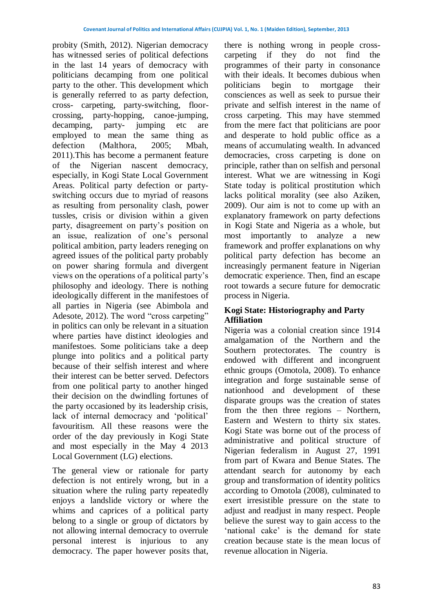probity (Smith, 2012). Nigerian democracy has witnessed series of political defections in the last 14 years of democracy with politicians decamping from one political party to the other. This development which is generally referred to as party defection, cross- carpeting, party-switching, floorcrossing, party-hopping, canoe-jumping, decamping, party- jumping etc are employed to mean the same thing as defection (Malthora, 2005; Mbah, 2011).This has become a permanent feature of the Nigerian nascent democracy, especially, in Kogi State Local Government Areas. Political party defection or partyswitching occurs due to myriad of reasons as resulting from personality clash, power tussles, crisis or division within a given party, disagreement on party's position on an issue, realization of one's personal political ambition, party leaders reneging on agreed issues of the political party probably on power sharing formula and divergent views on the operations of a political party's philosophy and ideology. There is nothing ideologically different in the manifestoes of all parties in Nigeria (see Abimbola and Adesote, 2012). The word "cross carpeting" in politics can only be relevant in a situation where parties have distinct ideologies and manifestoes. Some politicians take a deep plunge into politics and a political party because of their selfish interest and where their interest can be better served. Defectors from one political party to another hinged their decision on the dwindling fortunes of the party occasioned by its leadership crisis, lack of internal democracy and 'political' favouritism. All these reasons were the order of the day previously in Kogi State and most especially in the May 4 2013 Local Government (LG) elections.

The general view or rationale for party defection is not entirely wrong, but in a situation where the ruling party repeatedly enjoys a landslide victory or where the whims and caprices of a political party belong to a single or group of dictators by not allowing internal democracy to overrule personal interest is injurious to any democracy. The paper however posits that,

there is nothing wrong in people crosscarpeting if they do not find the programmes of their party in consonance with their ideals. It becomes dubious when politicians begin to mortgage their consciences as well as seek to pursue their private and selfish interest in the name of cross carpeting. This may have stemmed from the mere fact that politicians are poor and desperate to hold public office as a means of accumulating wealth. In advanced democracies, cross carpeting is done on principle, rather than on selfish and personal interest. What we are witnessing in Kogi State today is political prostitution which lacks political morality (see also Aziken, 2009). Our aim is not to come up with an explanatory framework on party defections in Kogi State and Nigeria as a whole, but most importantly to analyze a new framework and proffer explanations on why political party defection has become an increasingly permanent feature in Nigerian democratic experience. Then, find an escape root towards a secure future for democratic process in Nigeria.

# **Kogi State: Historiography and Party Affiliation**

Nigeria was a colonial creation since 1914 amalgamation of the Northern and the Southern protectorates. The country is endowed with different and incongruent ethnic groups (Omotola, 2008). To enhance integration and forge sustainable sense of nationhood and development of these disparate groups was the creation of states from the then three regions – Northern, Eastern and Western to thirty six states. Kogi State was borne out of the process of administrative and political structure of Nigerian federalism in August 27, 1991 from part of Kwara and Benue States. The attendant search for autonomy by each group and transformation of identity politics according to Omotola (2008), culminated to exert irresistible pressure on the state to adjust and readjust in many respect. People believe the surest way to gain access to the 'national cake' is the demand for state creation because state is the mean locus of revenue allocation in Nigeria.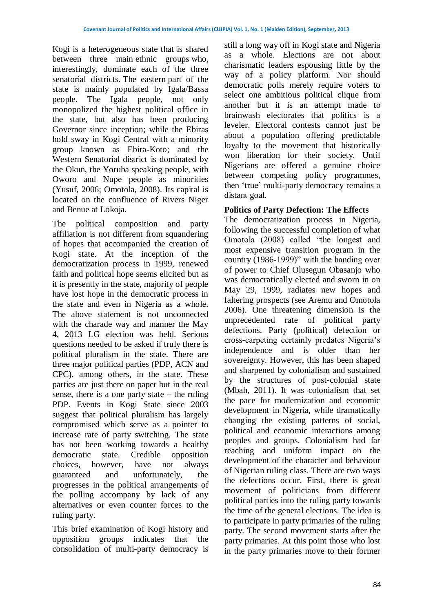Kogi is a heterogeneous state that is shared between three main ethnic groups who, interestingly, dominate each of the three senatorial districts. The eastern part of the state is mainly populated by Igala/Bassa people. The Igala people, not only monopolized the highest political office in the state, but also has been producing Governor since inception; while the Ebiras hold sway in Kogi Central with a minority group known as Ebira-Koto; and the Western Senatorial district is dominated by the Okun, the Yoruba speaking people, with Oworo and Nupe people as minorities (Yusuf, 2006; Omotola, 2008). Its capital is located on the confluence of Rivers Niger and Benue at Lokoja.

The political composition and party affiliation is not different from squandering of hopes that accompanied the creation of Kogi state. At the inception of the democratization process in 1999, renewed faith and political hope seems elicited but as it is presently in the state, majority of people have lost hope in the democratic process in the state and even in Nigeria as a whole. The above statement is not unconnected with the charade way and manner the May 4, 2013 LG election was held. Serious questions needed to be asked if truly there is political pluralism in the state. There are three major political parties (PDP, ACN and CPC), among others, in the state. These parties are just there on paper but in the real sense, there is a one party state – the ruling PDP. Events in Kogi State since 2003 suggest that political pluralism has largely compromised which serve as a pointer to increase rate of party switching. The state has not been working towards a healthy democratic state. Credible opposition choices, however, have not always guaranteed and unfortunately, the progresses in the political arrangements of the polling accompany by lack of any alternatives or even counter forces to the ruling party.

This brief examination of Kogi history and opposition groups indicates that the consolidation of multi-party democracy is

still a long way off in Kogi state and Nigeria as a whole. Elections are not about charismatic leaders espousing little by the way of a policy platform. Nor should democratic polls merely require voters to select one ambitious political clique from another but it is an attempt made to brainwash electorates that politics is a leveler. Electoral contests cannot just be about a population offering predictable loyalty to the movement that historically won liberation for their society. Until Nigerians are offered a genuine choice between competing policy programmes, then 'true' multi-party democracy remains a distant goal.

# **Politics of Party Defection: The Effects**

The democratization process in Nigeria, following the successful completion of what Omotola (2008) called "the longest and most expensive transition program in the country (1986-1999)" with the handing over of power to Chief Olusegun Obasanjo who was democratically elected and sworn in on May 29, 1999, radiates new hopes and faltering prospects (see Aremu and Omotola 2006). One threatening dimension is the unprecedented rate of political party defections. Party (political) defection or cross-carpeting certainly predates Nigeria's independence and is older than her sovereignty. However, this has been shaped and sharpened by colonialism and sustained by the structures of post-colonial state (Mbah, 2011). It was colonialism that set the pace for modernization and economic development in Nigeria, while dramatically changing the existing patterns of social, political and economic interactions among peoples and groups. Colonialism had far reaching and uniform impact on the development of the character and behaviour of Nigerian ruling class. There are two ways the defections occur. First, there is great movement of politicians from different political parties into the ruling party towards the time of the general elections. The idea is to participate in party primaries of the ruling party. The second movement starts after the party primaries. At this point those who lost in the party primaries move to their former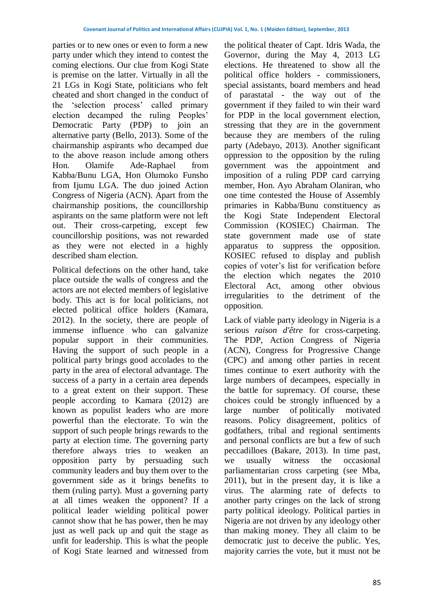parties or to new ones or even to form a new party under which they intend to contest the coming elections. Our clue from Kogi State is premise on the latter. Virtually in all the 21 LGs in Kogi State, politicians who felt cheated and short changed in the conduct of the 'selection process' called primary election decamped the ruling Peoples' Democratic Party (PDP) to join an alternative party (Bello, 2013). Some of the chairmanship aspirants who decamped due to the above reason include among others Hon. Olamife Ade-Raphael from Kabba/Bunu LGA, Hon Olumoko Funsho from Ijumu LGA. The duo joined Action Congress of Nigeria (ACN). Apart from the chairmanship positions, the councillorship aspirants on the same platform were not left out. Their cross-carpeting, except few councillorship positions, was not rewarded as they were not elected in a highly described sham election.

Political defections on the other hand, take place outside the walls of congress and the actors are not elected members of legislative body. This act is for local politicians, not elected political office holders (Kamara, 2012). In the society, there are people of immense influence who can galvanize popular support in their communities. Having the support of such people in a political party brings good accolades to the party in the area of electoral advantage. The success of a party in a certain area depends to a great extent on their support. These people according to Kamara (2012) are known as populist leaders who are more powerful than the electorate. To win the support of such people brings rewards to the party at election time. The governing party therefore always tries to weaken an opposition party by persuading such community leaders and buy them over to the government side as it brings benefits to them (ruling party). Must a governing party at all times weaken the opponent? If a political leader wielding political power cannot show that he has power, then he may just as well pack up and quit the stage as unfit for leadership. This is what the people of Kogi State learned and witnessed from the political theater of Capt. Idris Wada, the Governor, during the May 4, 2013 LG elections. He threatened to show all the political office holders - commissioners, special assistants, board members and head of parastatal - the way out of the government if they failed to win their ward for PDP in the local government election, stressing that they are in the government because they are members of the ruling party (Adebayo, 2013). Another significant oppression to the opposition by the ruling government was the appointment and imposition of a ruling PDP card carrying member, Hon. Ayo Abraham Olaniran, who one time contested the House of Assembly primaries in Kabba/Bunu constituency as the Kogi State Independent Electoral Commission (KOSIEC) Chairman. The state government made use of state apparatus to suppress the opposition. KOSIEC refused to display and publish copies of voter's list for verification before the election which negates the 2010 Electoral Act, among other obvious irregularities to the detriment of the opposition.

Lack of viable party ideology in Nigeria is a serious *raison d'être* for cross-carpeting. The PDP, Action Congress of Nigeria (ACN), Congress for Progressive Change (CPC) and among other parties in recent times continue to exert authority with the large numbers of decampees, especially in the battle for supremacy. Of course, these choices could be strongly influenced by a large number of politically motivated reasons. Policy disagreement, politics of godfathers, tribal and regional sentiments and personal conflicts are but a few of such peccadilloes (Bakare, 2013). In time past, we usually witness the occasional parliamentarian cross carpeting (see Mba, 2011), but in the present day, it is like a virus. The alarming rate of defects to another party cringes on the lack of strong party political ideology. Political parties in Nigeria are not driven by any ideology other than making money. They all claim to be democratic just to deceive the public. Yes, majority carries the vote, but it must not be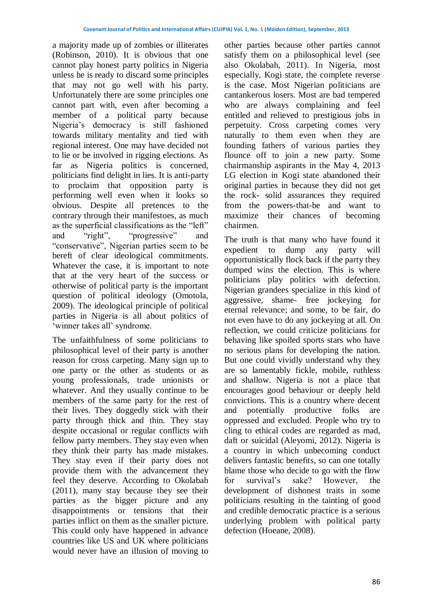a majority made up of zombies or illiterates (Robinson, 2010). It is obvious that one cannot play honest party politics in Nigeria unless he is ready to discard some principles that may not go well with his party. Unfortunately there are some principles one cannot part with, even after becoming a member of a political party because Nigeria's democracy is still fashioned towards military mentality and tied with regional interest. One may have decided not to lie or be involved in rigging elections. As far as Nigeria politics is concerned, politicians find delight in lies. It is anti-party to proclaim that opposition party is performing well even when it looks so obvious. Despite all pretences to the contrary through their manifestoes, as much as the superficial classifications as the "left" and "right", "progressive" and "conservative", Nigerian parties seem to be bereft of clear ideological commitments. Whatever the case, it is important to note that at the very heart of the success or otherwise of political party is the important question of political ideology (Omotola, 2009). The ideological principle of political parties in Nigeria is all about politics of 'winner takes all' syndrome.

The unfaithfulness of some politicians to philosophical level of their party is another reason for cross carpeting. Many sign up to one party or the other as students or as young professionals, trade unionists or whatever. And they usually continue to be members of the same party for the rest of their lives. They doggedly stick with their party through thick and thin. They stay despite occasional or regular conflicts with fellow party members. They stay even when they think their party has made mistakes. They stay even if their party does not provide them with the advancement they feel they deserve. According to Okolabah (2011), many stay because they see their parties as the bigger picture and any disappointments or tensions that their parties inflict on them as the smaller picture. This could only have happened in advance countries like US and UK where politicians would never have an illusion of moving to

other parties because other parties cannot satisfy them on a philosophical level (see also Okolabah, 2011). In Nigeria, most especially, Kogi state, the complete reverse is the case. Most Nigerian politicians are cantankerous losers. Most are bad tempered who are always complaining and feel entitled and relieved to prestigious jobs in perpetuity. Cross carpeting comes very naturally to them even when they are founding fathers of various parties they flounce off to join a new party. Some chairmanship aspirants in the May 4, 2013 LG election in Kogi state abandoned their original parties in because they did not get the rock- solid assurances they required from the powers-that-be and want to maximize their chances of becoming chairmen.

The truth is that many who have found it expedient to dump any party will opportunistically flock back if the party they dumped wins the election. This is where politicians play politics with defection. Nigerian grandees specialize in this kind of aggressive, shame- free jockeying for eternal relevance; and some, to be fair, do not even have to do any jockeying at all. On reflection, we could criticize politicians for behaving like spoiled sports stars who have no serious plans for developing the nation. But one could vividly understand why they are so lamentably fickle, mobile, ruthless and shallow. Nigeria is not a place that encourages good behaviour or deeply held convictions. This is a country where decent and potentially productive folks are oppressed and excluded. People who try to cling to ethical codes are regarded as mad, daft or suicidal (Aleyomi, 2012). Nigeria is a country in which unbecoming conduct delivers fantastic benefits, so can one totally blame those who decide to go with the flow for survival's sake? However, the development of dishonest traits in some politicians resulting in the tainting of good and credible democratic practice is a serious underlying problem with political party defection (Hoeane, 2008).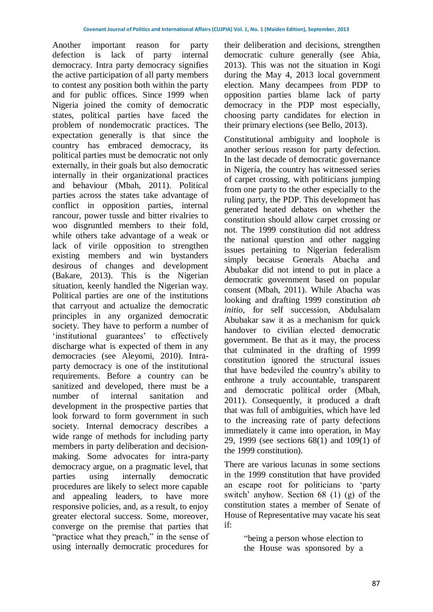Another important reason for party defection is lack of party internal democracy. Intra party democracy signifies the active participation of all party members to contest any position both within the party and for public offices. Since 1999 when Nigeria joined the comity of democratic states, political parties have faced the problem of nondemocratic practices. The expectation generally is that since the country has embraced democracy, its political parties must be democratic not only externally, in their goals but also democratic internally in their organizational practices and behaviour (Mbah, 2011). Political parties across the states take advantage of conflict in opposition parties, internal rancour, power tussle and bitter rivalries to woo disgruntled members to their fold, while others take advantage of a weak or lack of virile opposition to strengthen existing members and win bystanders desirous of changes and development (Bakare, 2013). This is the Nigerian situation, keenly handled the Nigerian way. Political parties are one of the institutions that carryout and actualize the democratic principles in any organized democratic society. They have to perform a number of 'institutional guarantees' to effectively discharge what is expected of them in any democracies (see Aleyomi, 2010). Intraparty democracy is one of the institutional requirements. Before a country can be sanitized and developed, there must be a number of internal sanitation and development in the prospective parties that look forward to form government in such society. Internal democracy describes a wide range of methods for including party members in party deliberation and decisionmaking. Some advocates for intra-party democracy argue, on a pragmatic level, that parties using internally democratic procedures are likely to select more capable and appealing leaders, to have more responsive policies, and, as a result, to enjoy greater electoral success. Some, moreover, converge on the premise that parties that "practice what they preach," in the sense of using internally democratic procedures for

their deliberation and decisions, strengthen democratic culture generally (see Abia, 2013). This was not the situation in Kogi during the May 4, 2013 local government election. Many decampees from PDP to opposition parties blame lack of party democracy in the PDP most especially, choosing party candidates for election in their primary elections (see Bello, 2013).

Constitutional ambiguity and loophole is another serious reason for party defection. In the last decade of democratic governance in Nigeria, the country has witnessed series of carpet crossing, with politicians jumping from one party to the other especially to the ruling party, the PDP. This development has generated heated debates on whether the constitution should allow carpet crossing or not. The 1999 constitution did not address the national question and other nagging issues pertaining to Nigerian federalism simply because Generals Abacha and Abubakar did not intend to put in place a democratic government based on popular consent (Mbah, 2011). While Abacha was looking and drafting 1999 constitution *ab initio*, for self succession, Abdulsalam Abubakar saw it as a mechanism for quick handover to civilian elected democratic government. Be that as it may, the process that culminated in the drafting of 1999 constitution ignored the structural issues that have bedeviled the country's ability to enthrone a truly accountable, transparent and democratic political order (Mbah, 2011). Consequently, it produced a draft that was full of ambiguities, which have led to the increasing rate of party defections immediately it came into operation, in May 29, 1999 (see sections 68(1) and 109(1) of the 1999 constitution).

There are various lacunas in some sections in the 1999 constitution that have provided an escape root for politicians to 'party switch' anyhow. Section 68 (1) (g) of the constitution states a member of Senate of House of Representative may vacate his seat if:

> "being a person whose election to the House was sponsored by a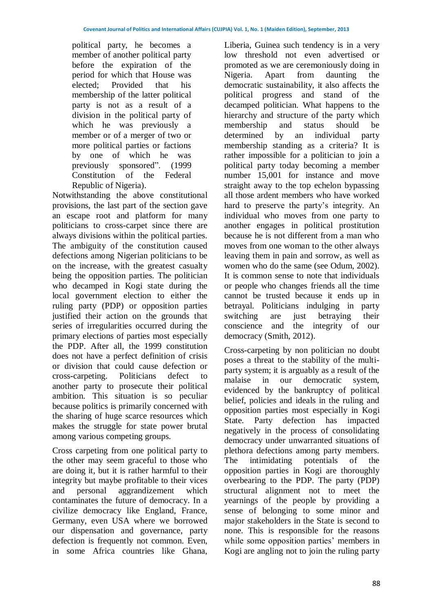political party, he becomes a member of another political party before the expiration of the period for which that House was elected; Provided that his membership of the latter political party is not as a result of a division in the political party of which he was previously a member or of a merger of two or more political parties or factions by one of which he was previously sponsored". (1999 Constitution of the Federal Republic of Nigeria).

Notwithstanding the above constitutional provisions, the last part of the section gave an escape root and platform for many politicians to cross-carpet since there are always divisions within the political parties. The ambiguity of the constitution caused defections among Nigerian politicians to be on the increase, with the greatest casualty being the opposition parties. The politician who decamped in Kogi state during the local government election to either the ruling party (PDP) or opposition parties justified their action on the grounds that series of irregularities occurred during the primary elections of parties most especially the PDP. After all, the 1999 constitution does not have a perfect definition of crisis or division that could cause defection or cross-carpeting. Politicians defect to another party to prosecute their political ambition. This situation is so peculiar because politics is primarily concerned with the sharing of huge scarce resources which makes the struggle for state power brutal among various competing groups.

Cross carpeting from one political party to the other may seem graceful to those who are doing it, but it is rather harmful to their integrity but maybe profitable to their vices and personal aggrandizement which contaminates the future of democracy. In a civilize democracy like England, France, Germany, even USA where we borrowed our dispensation and governance, party defection is frequently not common. Even, in some Africa countries like Ghana,

Liberia, Guinea such tendency is in a very low threshold not even advertised or promoted as we are ceremoniously doing in Nigeria. Apart from daunting the democratic sustainability, it also affects the political progress and stand of the decamped politician. What happens to the hierarchy and structure of the party which membership and status should be determined by an individual party membership standing as a criteria? It is rather impossible for a politician to join a political party today becoming a member number 15,001 for instance and move straight away to the top echelon bypassing all those ardent members who have worked hard to preserve the party's integrity. An individual who moves from one party to another engages in political prostitution because he is not different from a man who moves from one woman to the other always leaving them in pain and sorrow, as well as women who do the same (see Odum, 2002). It is common sense to note that individuals or people who changes friends all the time cannot be trusted because it ends up in betrayal. Politicians indulging in party switching are just betraying their conscience and the integrity of our democracy (Smith, 2012).

Cross-carpeting by non politician no doubt poses a threat to the stability of the multiparty system; it is arguably as a result of the malaise in our democratic system, evidenced by the bankruptcy of political belief, policies and ideals in the ruling and opposition parties most especially in Kogi State. Party defection has impacted negatively in the process of consolidating democracy under unwarranted situations of plethora defections among party members. The intimidating potentials of the opposition parties in Kogi are thoroughly overbearing to the PDP. The party (PDP) structural alignment not to meet the yearnings of the people by providing a sense of belonging to some minor and major stakeholders in the State is second to none. This is responsible for the reasons while some opposition parties' members in Kogi are angling not to join the ruling party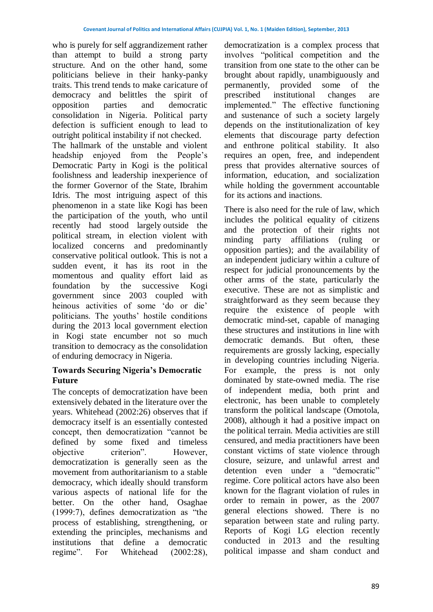who is purely for self aggrandizement rather than attempt to build a strong party structure. And on the other hand, some politicians believe in their hanky-panky traits. This trend tends to make caricature of democracy and belittles the spirit of opposition parties and democratic consolidation in Nigeria. Political party defection is sufficient enough to lead to outright political instability if not checked.

The hallmark of the unstable and violent headship enjoyed from the People's Democratic Party in Kogi is the political foolishness and leadership inexperience of the former Governor of the State, Ibrahim Idris. The most intriguing aspect of this phenomenon in a state like Kogi has been the participation of the youth, who until recently had stood largely outside the political stream, in election violent with localized concerns and predominantly conservative political outlook. This is not a sudden event, it has its root in the momentous and quality effort laid as foundation by the successive Kogi government since 2003 coupled with heinous activities of some 'do or die' politicians. The youths' hostile conditions during the 2013 local government election in Kogi state encumber not so much transition to democracy as the consolidation of enduring democracy in Nigeria.

# **Towards Securing Nigeria's Democratic Future**

The concepts of democratization have been extensively debated in the literature over the years. Whitehead (2002:26) observes that if democracy itself is an essentially contested concept, then democratization "cannot be defined by some fixed and timeless objective criterion". However, democratization is generally seen as the movement from authoritarianism to a stable democracy, which ideally should transform various aspects of national life for the better. On the other hand, Osaghae (1999:7), defines democratization as "the process of establishing, strengthening, or extending the principles, mechanisms and institutions that define a democratic regime". For Whitehead (2002:28), democratization is a complex process that involves "political competition and the transition from one state to the other can be brought about rapidly, unambiguously and permanently, provided some of the prescribed institutional changes are implemented." The effective functioning and sustenance of such a society largely depends on the institutionalization of key elements that discourage party defection and enthrone political stability. It also requires an open, free, and independent press that provides alternative sources of information, education, and socialization while holding the government accountable for its actions and inactions.

There is also need for the rule of law, which includes the political equality of citizens and the protection of their rights not minding party affiliations (ruling or opposition parties); and the availability of an independent judiciary within a culture of respect for judicial pronouncements by the other arms of the state, particularly the executive. These are not as simplistic and straightforward as they seem because they require the existence of people with democratic mind-set, capable of managing these structures and institutions in line with democratic demands. But often, these requirements are grossly lacking, especially in developing countries including Nigeria. For example, the press is not only dominated by state-owned media. The rise of independent media, both print and electronic, has been unable to completely transform the political landscape (Omotola, 2008), although it had a positive impact on the political terrain. Media activities are still censured, and media practitioners have been constant victims of state violence through closure, seizure, and unlawful arrest and detention even under a "democratic" regime. Core political actors have also been known for the flagrant violation of rules in order to remain in power, as the 2007 general elections showed. There is no separation between state and ruling party. Reports of Kogi LG election recently conducted in 2013 and the resulting political impasse and sham conduct and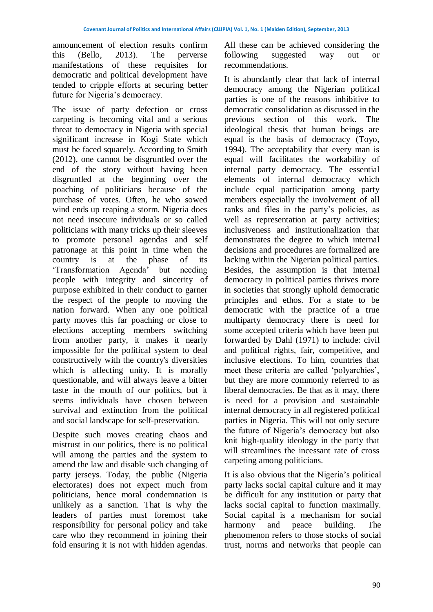announcement of election results confirm this (Bello, 2013). The perverse manifestations of these requisites for democratic and political development have tended to cripple efforts at securing better future for Nigeria's democracy.

The issue of party defection or cross carpeting is becoming vital and a serious threat to democracy in Nigeria with special significant increase in Kogi State which must be faced squarely. According to Smith (2012), one cannot be disgruntled over the end of the story without having been disgruntled at the beginning over the poaching of politicians because of the purchase of votes. Often, he who sowed wind ends up reaping a storm. Nigeria does not need insecure individuals or so called politicians with many tricks up their sleeves to promote personal agendas and self patronage at this point in time when the country is at the phase of its 'Transformation Agenda' but needing people with integrity and sincerity of purpose exhibited in their conduct to garner the respect of the people to moving the nation forward. When any one political party moves this far poaching or close to elections accepting members switching from another party, it makes it nearly impossible for the political system to deal constructively with the country's diversities which is affecting unity. It is morally questionable, and will always leave a bitter taste in the mouth of our politics, but it seems individuals have chosen between survival and extinction from the political and social landscape for self-preservation.

Despite such moves creating chaos and mistrust in our politics, there is no political will among the parties and the system to amend the law and disable such changing of party jerseys. Today, the public (Nigeria electorates) does not expect much from politicians, hence moral condemnation is unlikely as a sanction. That is why the leaders of parties must foremost take responsibility for personal policy and take care who they recommend in joining their fold ensuring it is not with hidden agendas.

All these can be achieved considering the following suggested way out or recommendations.

It is abundantly clear that lack of internal democracy among the Nigerian political parties is one of the reasons inhibitive to democratic consolidation as discussed in the previous section of this work. The ideological thesis that human beings are equal is the basis of democracy (Toyo, 1994). The acceptability that every man is equal will facilitates the workability of internal party democracy. The essential elements of internal democracy which include equal participation among party members especially the involvement of all ranks and files in the party's policies, as well as representation at party activities; inclusiveness and institutionalization that demonstrates the degree to which internal decisions and procedures are formalized are lacking within the Nigerian political parties. Besides, the assumption is that internal democracy in political parties thrives more in societies that strongly uphold democratic principles and ethos. For a state to be democratic with the practice of a true multiparty democracy there is need for some accepted criteria which have been put forwarded by Dahl (1971) to include: civil and political rights, fair, competitive, and inclusive elections. To him, countries that meet these criteria are called 'polyarchies', but they are more commonly referred to as liberal democracies. Be that as it may, there is need for a provision and sustainable internal democracy in all registered political parties in Nigeria. This will not only secure the future of Nigeria's democracy but also knit high-quality ideology in the party that will streamlines the incessant rate of cross carpeting among politicians.

It is also obvious that the Nigeria's political party lacks social capital culture and it may be difficult for any institution or party that lacks social capital to function maximally. Social capital is a mechanism for social harmony and peace building. The phenomenon refers to those stocks of social trust, norms and networks that people can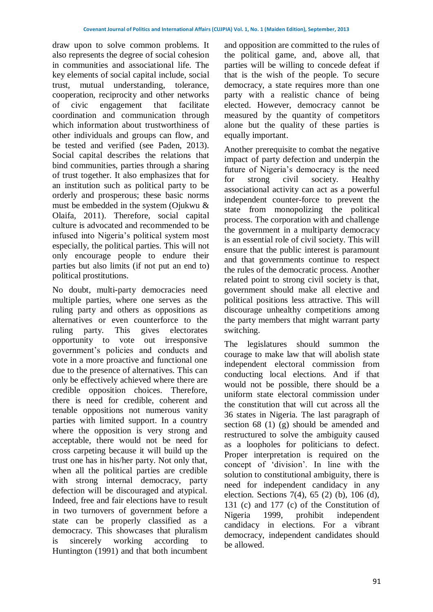draw upon to solve common problems. It also represents the degree of social cohesion in communities and associational life. The key elements of social capital include, social trust, mutual understanding, tolerance, cooperation, reciprocity and other networks of civic engagement that facilitate coordination and communication through which information about trustworthiness of other individuals and groups can flow, and be tested and verified (see Paden, 2013). Social capital describes the relations that bind communities, parties through a sharing of trust together. It also emphasizes that for an institution such as political party to be orderly and prosperous; these basic norms must be embedded in the system (Ojukwu & Olaifa, 2011). Therefore, social capital culture is advocated and recommended to be infused into Nigeria's political system most especially, the political parties. This will not only encourage people to endure their parties but also limits (if not put an end to) political prostitutions.

No doubt, multi-party democracies need multiple parties, where one serves as the ruling party and others as oppositions as alternatives or even counterforce to the ruling party. This gives electorates opportunity to vote out irresponsive government's policies and conducts and vote in a more proactive and functional one due to the presence of alternatives. This can only be effectively achieved where there are credible opposition choices. Therefore, there is need for credible, coherent and tenable oppositions not numerous vanity parties with limited support. In a country where the opposition is very strong and acceptable, there would not be need for cross carpeting because it will build up the trust one has in his/her party. Not only that, when all the political parties are credible with strong internal democracy, party defection will be discouraged and atypical. Indeed, free and fair elections have to result in two turnovers of government before a state can be properly classified as a democracy. This showcases that pluralism is sincerely working according to Huntington (1991) and that both incumbent and opposition are committed to the rules of the political game, and, above all, that parties will be willing to concede defeat if that is the wish of the people. To secure democracy, a state requires more than one party with a realistic chance of being elected. However, democracy cannot be measured by the quantity of competitors alone but the quality of these parties is equally important.

Another prerequisite to combat the negative impact of party defection and underpin the future of Nigeria's democracy is the need for strong civil society. Healthy associational activity can act as a powerful independent counter-force to prevent the state from monopolizing the political process. The corporation with and challenge the government in a multiparty democracy is an essential role of civil society. This will ensure that the public interest is paramount and that governments continue to respect the rules of the democratic process. Another related point to strong civil society is that, government should make all elective and political positions less attractive. This will discourage unhealthy competitions among the party members that might warrant party switching.

The legislatures should summon the courage to make law that will abolish state independent electoral commission from conducting local elections. And if that would not be possible, there should be a uniform state electoral commission under the constitution that will cut across all the 36 states in Nigeria. The last paragraph of section 68 (1) (g) should be amended and restructured to solve the ambiguity caused as a loopholes for politicians to defect. Proper interpretation is required on the concept of 'division'. In line with the solution to constitutional ambiguity, there is need for independent candidacy in any election. Sections 7(4), 65 (2) (b), 106 (d), 131 (c) and 177 (c) of the Constitution of Nigeria 1999, prohibit independent candidacy in elections. For a vibrant democracy, independent candidates should be allowed.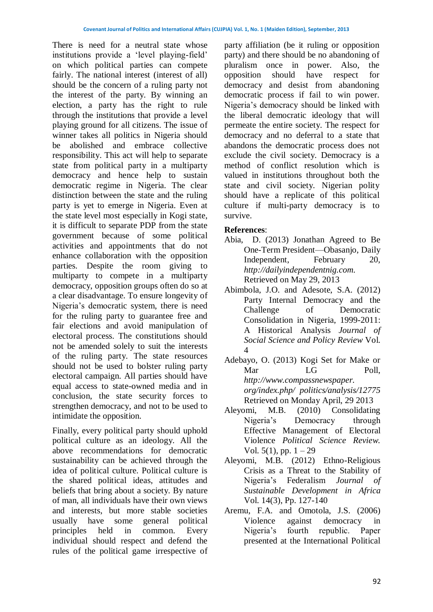There is need for a neutral state whose institutions provide a 'level playing-field' on which political parties can compete fairly. The national interest (interest of all) should be the concern of a ruling party not the interest of the party. By winning an election, a party has the right to rule through the institutions that provide a level playing ground for all citizens. The issue of winner takes all politics in Nigeria should be abolished and embrace collective responsibility. This act will help to separate state from political party in a multiparty democracy and hence help to sustain democratic regime in Nigeria. The clear distinction between the state and the ruling party is yet to emerge in Nigeria. Even at the state level most especially in Kogi state, it is difficult to separate PDP from the state government because of some political activities and appointments that do not enhance collaboration with the opposition parties. Despite the room giving to multiparty to compete in a multiparty democracy, opposition groups often do so at a clear disadvantage. To ensure longevity of Nigeria's democratic system, there is need for the ruling party to guarantee free and fair elections and avoid manipulation of electoral process. The constitutions should not be amended solely to suit the interests of the ruling party. The state resources should not be used to bolster ruling party electoral campaign. All parties should have equal access to state-owned media and in conclusion, the state security forces to strengthen democracy, and not to be used to intimidate the opposition.

Finally, every political party should uphold political culture as an ideology. All the above recommendations for democratic sustainability can be achieved through the idea of political culture. Political culture is the shared political ideas, attitudes and beliefs that bring about a society. By nature of man, all individuals have their own views and interests, but more stable societies usually have some general political principles held in common. Every individual should respect and defend the rules of the political game irrespective of party affiliation (be it ruling or opposition party) and there should be no abandoning of pluralism once in power. Also, the opposition should have respect for democracy and desist from abandoning democratic process if fail to win power. Nigeria's democracy should be linked with the liberal democratic ideology that will permeate the entire society. The respect for democracy and no deferral to a state that abandons the democratic process does not exclude the civil society. Democracy is a method of conflict resolution which is valued in institutions throughout both the state and civil society. Nigerian polity should have a replicate of this political culture if multi-party democracy is to survive.

# **References**:

- Abia, D. (2013) Jonathan Agreed to Be One-Term President—Obasanjo, Daily Independent, February 20, *[http://dailyindependentnig.com.](http://dailyindependentnig.com/)* Retrieved on May 29, 2013
- Abimbola, J.O. and Adesote, S.A. (2012) Party Internal Democracy and the Challenge of Democratic Consolidation in Nigeria, 1999-2011: A Historical Analysis *Journal of Social Science and Policy Review* Vol. 4
- Adebayo, O. (2013) Kogi Set for Make or Mar LG Poll, *http://www.compassnewspaper. org/index.php/ politics/analysis/12775* Retrieved on Monday April, 29 2013
- Aleyomi, M.B. (2010) Consolidating Nigeria's Democracy through Effective Management of Electoral Violence *Political Science Review.*  Vol.  $5(1)$ , pp.  $1 - 29$
- Aleyomi, M.B. (2012) Ethno-Religious Crisis as a Threat to the Stability of Nigeria's Federalism *Journal of Sustainable Development in Africa* Vol. 14(3), Pp. 127-140
- Aremu, F.A. and Omotola, J.S. (2006) Violence against democracy in Nigeria's fourth republic. Paper presented at the International Political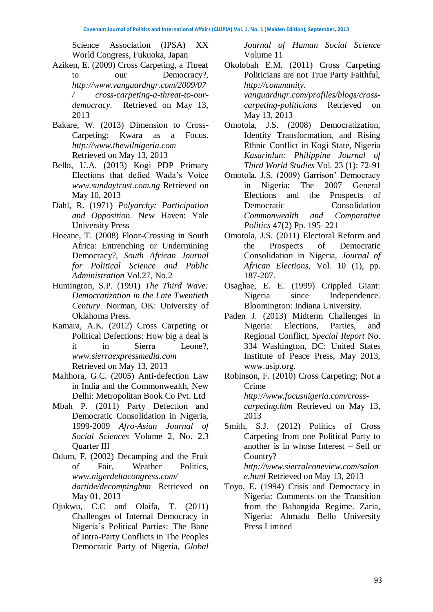Science Association (IPSA) XX World Congress, Fukuoka, Japan

- Aziken, E. (2009) Cross Carpeting, a Threat to our Democracy?, *[http://www.vanguardngr.com/2009/07](http://www.vanguardngr.com/2009/07/%20cross-carpeting-a-threat-to-our-democracy.%20Retrieved%20on%20May%2013) [/ cross-carpeting-a-threat-to-our](http://www.vanguardngr.com/2009/07/%20cross-carpeting-a-threat-to-our-democracy.%20Retrieved%20on%20May%2013)[democracy.](http://www.vanguardngr.com/2009/07/%20cross-carpeting-a-threat-to-our-democracy.%20Retrieved%20on%20May%2013)* Retrieved on May 13, 2013
- Bakare, W. (2013) Dimension to Cross-Carpeting: Kwara as a Focus. *[http://www.thewilnigeria.com](http://www.thewilnigeria.com/)* Retrieved on May 13, 2013
- Bello, U.A. (2013) Kogi PDP Primary Elections that defied Wada's Voice *[www.sundaytrust.com.ng](http://www.sundaytrust.com.ng/)* Retrieved on May 10, 2013
- Dahl, R. (1971) *Polyarchy: Participation and Opposition.* New Haven: Yale University Press
- Hoeane, T. (2008) Floor-Crossing in South Africa: Entrenching or Undermining Democracy?, *South African Journal for Political Science and Public Administration* Vol.27, No.2
- Huntington, S.P. (1991) *The Third Wave: Democratization in the Late Twentieth Century*. Norman, OK: University of Oklahoma Press.
- Kamara, A.K. (2012) Cross Carpeting or Political Defections: How big a deal is it in Sierra Leone?, *[www.sierraexpressmedia.com](http://www.sierraexpressmedia.com/)* Retrieved on May 13, 2013
- Malthora, G.C. (2005) Anti-defection Law in India and the Commonwealth, New Delhi: Metropolitan Book Co Pvt. Ltd
- Mbah P. (2011) Party Defection and Democratic Consolidation in Nigeria, 1999-2009 *Afro-Asian Journal of Social Sciences* Volume 2, No. 2.3 Quarter III
- Odum, F. (2002) Decamping and the Fruit of Fair, Weather Politics, *[www.nigerdeltacongress.com/](http://www.nigerdeltacongress.com/) dartide/decompinghtm* Retrieved on May 01, 2013
- Ojukwu, C.C and Olaifa, T. (2011) Challenges of Internal Democracy in Nigeria's Political Parties: The Bane of Intra-Party Conflicts in The Peoples Democratic Party of Nigeria, *Global*

*Journal of Human Social Science*  Volume 11

- Okolobah E.M. (2011) Cross Carpeting Politicians are not True Party Faithful, *http://community. vanguardngr.com/profiles/blogs/crosscarpeting-politicians* Retrieved on May 13, 2013
- Omotola, J.S. (2008) Democratization, Identity Transformation, and Rising Ethnic Conflict in Kogi State, Nigeria *Kasarinlan: Philippine Journal of Third World Studies* Vol. 23 (1): 72-91
- Omotola, J.S. (2009) Garrison' Democracy in Nigeria: The 2007 General Elections and the Prospects of Democratic Consolidation *Commonwealth and Comparative Politics* 47(2) Pp. 195–221
- Omotola, J.S. (2011) Electoral Reform and the Prospects of Democratic Consolidation in Nigeria, *Journal of African Elections*, Vol. 10 (1), pp. 187-207.
- Osaghae, E. E. (1999) Crippled Giant: Nigeria since Independence. Bloomington: Indiana University.
- Paden J. (2013) Midterm Challenges in Nigeria: Elections, Parties, and Regional Conflict, *Special Report* No. 334 Washington, DC: United States Institute of Peace Press, May 2013, www.usip.org.
- Robinson, F. (2010) Cross Carpeting; Not a Crime *[http://www.focusnigeria.com/cross](http://www.focusnigeria.com/cross-carpeting.htm%20Retrieved%20on%20May%2013)carpeting.htm* [Retrieved on May 13,](http://www.focusnigeria.com/cross-carpeting.htm%20Retrieved%20on%20May%2013) 2013
- Smith, S.J. (2012) Politics of Cross Carpeting from one Political Party to another is in whose Interest – Self or Country? *[http://www.sierraleoneview.com/salon](http://www.sierraleoneview.com/salone.html%20Retrieved%20on%20May%2013) e.html* [Retrieved on May 13,](http://www.sierraleoneview.com/salone.html%20Retrieved%20on%20May%2013) 2013
- Toyo, E. (1994) Crisis and Democracy in Nigeria: Comments on the Transition from the Babangida Regime. Zaria, Nigeria: Ahmadu Bello University Press Limited